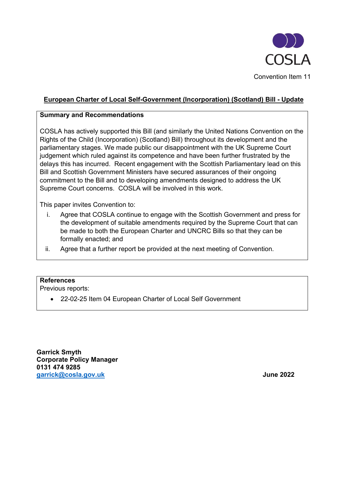

# **European Charter of Local Self-Government (Incorporation) (Scotland) Bill - Update**

#### **Summary and Recommendations**

COSLA has actively supported this Bill (and similarly the United Nations Convention on the Rights of the Child (Incorporation) (Scotland) Bill) throughout its development and the parliamentary stages. We made public our disappointment with the UK Supreme Court judgement which ruled against its competence and have been further frustrated by the delays this has incurred. Recent engagement with the Scottish Parliamentary lead on this Bill and Scottish Government Ministers have secured assurances of their ongoing commitment to the Bill and to developing amendments designed to address the UK Supreme Court concerns. COSLA will be involved in this work.

This paper invites Convention to:

- i. Agree that COSLA continue to engage with the Scottish Government and press for the development of suitable amendments required by the Supreme Court that can be made to both the European Charter and UNCRC Bills so that they can be formally enacted; and
- ii. Agree that a further report be provided at the next meeting of Convention.

## **References**

Previous reports:

• 22-02-25 Item 04 European Charter of Local Self Government

**Garrick Smyth Corporate Policy Manager 0131 474 9285 [garrick@cosla.gov.uk](mailto:garrick@cosla.gov.uk) June 2022**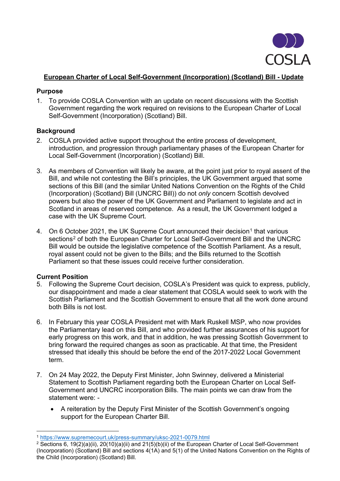

## **European Charter of Local Self-Government (Incorporation) (Scotland) Bill - Update**

#### **Purpose**

1. To provide COSLA Convention with an update on recent discussions with the Scottish Government regarding the work required on revisions to the European Charter of Local Self-Government (Incorporation) (Scotland) Bill.

## **Background**

- 2. COSLA provided active support throughout the entire process of development, introduction, and progression through parliamentary phases of the European Charter for Local Self-Government (Incorporation) (Scotland) Bill.
- 3. As members of Convention will likely be aware, at the point just prior to royal assent of the Bill, and while not contesting the Bill's principles, the UK Government argued that some sections of this Bill (and the similar United Nations Convention on the Rights of the Child (Incorporation) (Scotland) Bill (UNCRC Bill)) do not *only* concern Scottish devolved powers but also the power of the UK Government and Parliament to legislate and act in Scotland in areas of reserved competence. As a result, the UK Government lodged a case with the UK Supreme Court.
- 4. On 6 October 202[1](#page-1-0), the UK Supreme Court announced their decision<sup>1</sup> that various sections<sup>[2](#page-1-1)</sup> of both the European Charter for Local Self-Government Bill and the UNCRC Bill would be outside the legislative competence of the Scottish Parliament. As a result, royal assent could not be given to the Bills; and the Bills returned to the Scottish Parliament so that these issues could receive further consideration.

## **Current Position**

- 5. Following the Supreme Court decision, COSLA's President was quick to express, publicly, our disappointment and made a clear statement that COSLA would seek to work with the Scottish Parliament and the Scottish Government to ensure that all the work done around both Bills is not lost.
- 6. In February this year COSLA President met with Mark Ruskell MSP, who now provides the Parliamentary lead on this Bill, and who provided further assurances of his support for early progress on this work, and that in addition, he was pressing Scottish Government to bring forward the required changes as soon as practicable. At that time, the President stressed that ideally this should be before the end of the 2017-2022 Local Government term.
- 7. On 24 May 2022, the Deputy First Minister, John Swinney, delivered a Ministerial Statement to Scottish Parliament regarding both the European Charter on Local Self-Government and UNCRC incorporation Bills. The main points we can draw from the statement were: -
	- A reiteration by the Deputy First Minister of the Scottish Government's ongoing support for the European Charter Bill.

<span id="page-1-1"></span><span id="page-1-0"></span><sup>&</sup>lt;sup>1</sup> https://www.supremecourt.uk/press-summary/uksc-2021-0079.html<br><sup>2</sup> Sections 6, 19(2)(a)(ii), 20(10)(a)(ii) and 21(5)(b)(ii) of the European Charter of Local Self-Government (Incorporation) (Scotland) Bill and sections 4(1A) and 5(1) of the United Nations Convention on the Rights of the Child (Incorporation) (Scotland) Bill.